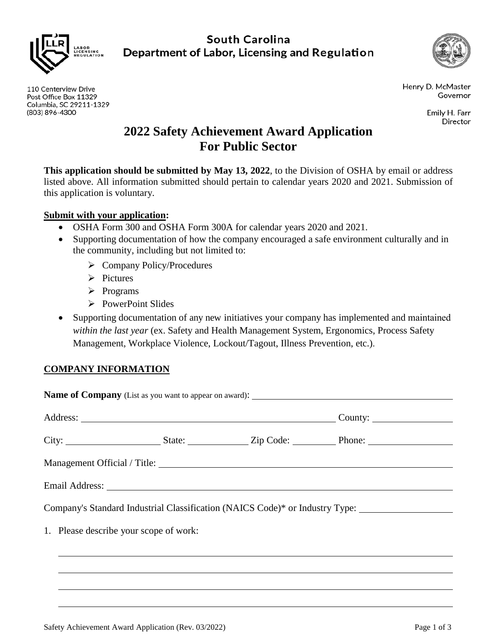

**South Carolina** Department of Labor, Licensing and Regulation



Henry D. McMaster Governor

> Emily H. Farr Director

# **2022 Safety Achievement Award Application For Public Sector**

**This application should be submitted by May 13, 2022**, to the Division of OSHA by email or address listed above. All information submitted should pertain to calendar years 2020 and 2021. Submission of this application is voluntary.

# **Submit with your application:**

- OSHA Form 300 and OSHA Form 300A for calendar years 2020 and 2021.
- Supporting documentation of how the company encouraged a safe environment culturally and in the community, including but not limited to:
	- $\triangleright$  Company Policy/Procedures
	- $\triangleright$  Pictures
	- $\triangleright$  Programs
	- $\triangleright$  PowerPoint Slides
- Supporting documentation of any new initiatives your company has implemented and maintained *within the last year* (ex. Safety and Health Management System, Ergonomics, Process Safety Management, Workplace Violence, Lockout/Tagout, Illness Prevention, etc.).

# **COMPANY INFORMATION**

|                                        | Company's Standard Industrial Classification (NAICS Code)* or Industry Type: ______________________ |  |
|----------------------------------------|-----------------------------------------------------------------------------------------------------|--|
|                                        |                                                                                                     |  |
| 1. Please describe your scope of work: |                                                                                                     |  |
|                                        |                                                                                                     |  |

110 Centerview Drive Post Office Box 11329 Columbia, SC 29211-1329 (803) 896-4300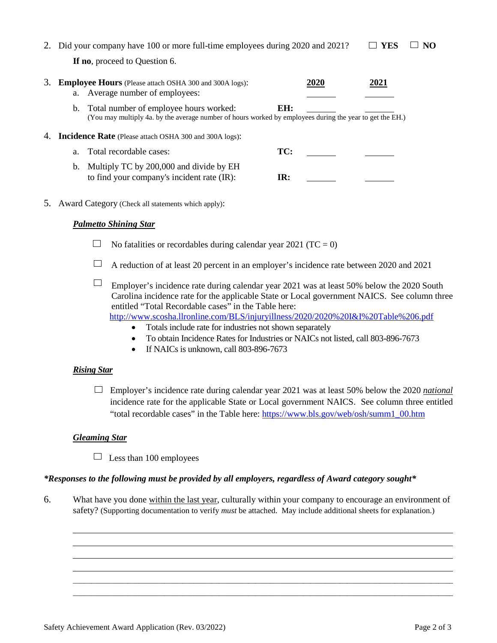|    | Did your company have 100 or more full-time employees during 2020 and 2021? |                                                                                                                                                       |             | YES  | NO. |
|----|-----------------------------------------------------------------------------|-------------------------------------------------------------------------------------------------------------------------------------------------------|-------------|------|-----|
|    |                                                                             | If no, proceed to Question 6.                                                                                                                         |             |      |     |
|    | a.                                                                          | <b>Employee Hours</b> (Please attach OSHA 300 and 300A logs):<br>Average number of employees:                                                         | <b>2020</b> | 2021 |     |
|    |                                                                             | b. Total number of employee hours worked:<br>(You may multiply 4a. by the average number of hours worked by employees during the year to get the EH.) | EH:         |      |     |
| 4. |                                                                             | <b>Incidence Rate</b> (Please attach OSHA 300 and 300A logs):                                                                                         |             |      |     |
|    | a.                                                                          | Total recordable cases:                                                                                                                               | TC:         |      |     |

| b. Multiply TC by 200,000 and divide by EH |     |  |
|--------------------------------------------|-----|--|
| to find your company's incident rate (IR): | IR: |  |

5. Award Category (Check all statements which apply):

## *Palmetto Shining Star*

- $\Box$  No fatalities or recordables during calendar year 2021 (TC = 0)
- $\Box$  A reduction of at least 20 percent in an employer's incidence rate between 2020 and 2021

 $\Box$ Employer's incidence rate during calendar year 2021 was at least 50% below the 2020 South Carolina incidence rate for the applicable State or Local government NAICS. See column three entitled "Total Recordable cases" in the Table here: <http://www.scosha.llronline.com/BLS/injuryillness/2020/2020%20I&I%20Table%206.pdf>

- Totals include rate for industries not shown separately
- To obtain Incidence Rates for Industries or NAICs not listed, call 803-896-7673
- If NAICs is unknown, call 803-896-7673

#### *Rising Star*

Employer's incidence rate during calendar year 2021 was at least 50% below the 2020 *national* incidence rate for the applicable State or Local government NAICS. See column three entitled "total recordable cases" in the Table here: [https://www.bls.gov/web/osh/summ1\\_00.htm](https://www.bls.gov/web/osh/summ1_00.htm)

## *Gleaming Star*

 $\Box$  Less than 100 employees

## *\*Responses to the following must be provided by all employers, regardless of Award category sought\**

6. What have you done within the last year, culturally within your company to encourage an environment of safety? (Supporting documentation to verify *must* be attached. May include additional sheets for explanation.)

\_\_\_\_\_\_\_\_\_\_\_\_\_\_\_\_\_\_\_\_\_\_\_\_\_\_\_\_\_\_\_\_\_\_\_\_\_\_\_\_\_\_\_\_\_\_\_\_\_\_\_\_\_\_\_\_\_\_\_\_\_\_\_\_\_\_\_\_\_\_\_\_\_\_\_\_\_\_\_\_\_\_\_\_\_\_\_\_\_\_\_\_\_\_\_\_\_\_\_\_\_\_\_\_ \_\_\_\_\_\_\_\_\_\_\_\_\_\_\_\_\_\_\_\_\_\_\_\_\_\_\_\_\_\_\_\_\_\_\_\_\_\_\_\_\_\_\_\_\_\_\_\_\_\_\_\_\_\_\_\_\_\_\_\_\_\_\_\_\_\_\_\_\_\_\_\_\_\_\_\_\_\_\_\_\_\_\_\_\_\_\_\_\_\_\_\_\_\_\_\_\_\_\_\_\_\_\_\_